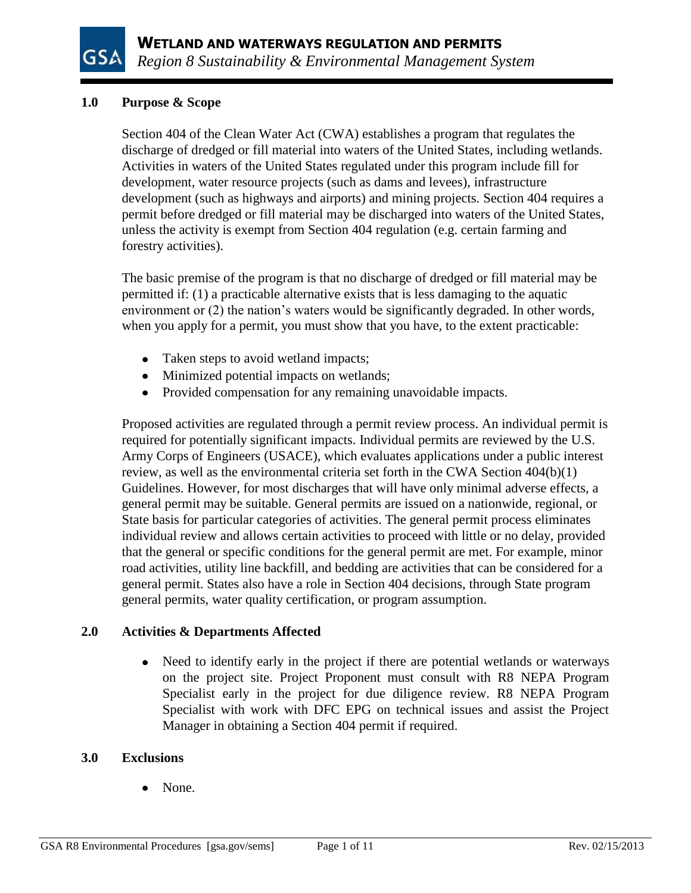

## **1.0 Purpose & Scope**

Section 404 of the Clean Water Act (CWA) establishes a program that regulates the discharge of dredged or fill material into waters of the United States, including wetlands. Activities in waters of the United States regulated under this program include fill for development, water resource projects (such as dams and levees), infrastructure development (such as highways and airports) and mining projects. Section 404 requires a permit before dredged or fill material may be discharged into waters of the United States, unless the activity is exempt from Section 404 regulation (e.g. certain farming and forestry activities).

The basic premise of the program is that no discharge of dredged or fill material may be permitted if: (1) a practicable alternative exists that is less damaging to the aquatic environment or (2) the nation's waters would be significantly degraded. In other words, when you apply for a permit, you must show that you have, to the extent practicable:

- Taken steps to avoid wetland impacts;
- Minimized potential impacts on wetlands;
- Provided compensation for any remaining unavoidable impacts.

Proposed activities are regulated through a permit review process. An individual permit is required for potentially significant impacts. Individual permits are reviewed by the U.S. Army Corps of Engineers (USACE), which evaluates applications under a public interest review, as well as the environmental criteria set forth in the CWA Section 404(b)(1) Guidelines. However, for most discharges that will have only minimal adverse effects, a general permit may be suitable. General permits are issued on a nationwide, regional, or State basis for particular categories of activities. The general permit process eliminates individual review and allows certain activities to proceed with little or no delay, provided that the general or specific conditions for the general permit are met. For example, minor road activities, utility line backfill, and bedding are activities that can be considered for a general permit. States also have a role in Section 404 decisions, through State program general permits, water quality certification, or program assumption.

# **2.0 Activities & Departments Affected**

Need to identify early in the project if there are potential wetlands or waterways  $\bullet$ on the project site. Project Proponent must consult with R8 NEPA Program Specialist early in the project for due diligence review. R8 NEPA Program Specialist with work with DFC EPG on technical issues and assist the Project Manager in obtaining a Section 404 permit if required.

# **3.0 Exclusions**

None.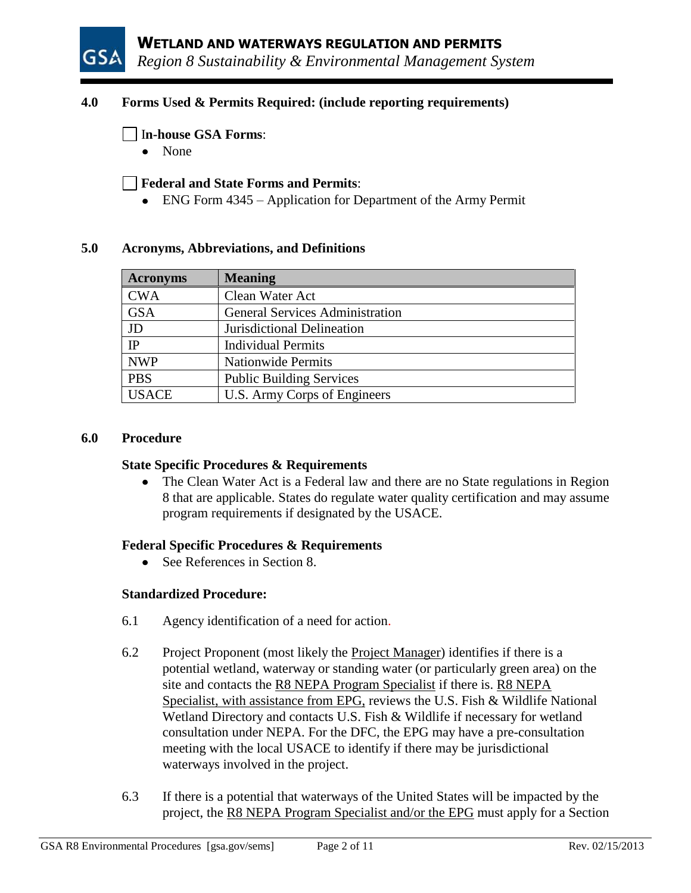

## **4.0 Forms Used & Permits Required: (include reporting requirements)**

### I**n-house GSA Forms**:

• None

### **Federal and State Forms and Permits**:

• ENG Form 4345 – Application for Department of the Army Permit

#### **5.0 Acronyms, Abbreviations, and Definitions**

| <b>Acronyms</b> | <b>Meaning</b>                         |
|-----------------|----------------------------------------|
| <b>CWA</b>      | Clean Water Act                        |
| <b>GSA</b>      | <b>General Services Administration</b> |
| JD              | Jurisdictional Delineation             |
| IP              | <b>Individual Permits</b>              |
| <b>NWP</b>      | <b>Nationwide Permits</b>              |
| <b>PBS</b>      | <b>Public Building Services</b>        |
| <b>USACE</b>    | U.S. Army Corps of Engineers           |

#### **6.0 Procedure**

#### **State Specific Procedures & Requirements**

• The Clean Water Act is a Federal law and there are no State regulations in Region 8 that are applicable. States do regulate water quality certification and may assume program requirements if designated by the USACE.

### **Federal Specific Procedures & Requirements**

• See References in Section 8.

### **Standardized Procedure:**

- 6.1 Agency identification of a need for action.
- 6.2 Project Proponent (most likely the Project Manager) identifies if there is a potential wetland, waterway or standing water (or particularly green area) on the site and contacts the R8 NEPA Program Specialist if there is. R8 NEPA Specialist, with assistance from EPG, reviews the U.S. Fish & Wildlife National Wetland Directory and contacts U.S. Fish & Wildlife if necessary for wetland consultation under NEPA. For the DFC, the EPG may have a pre-consultation meeting with the local USACE to identify if there may be jurisdictional waterways involved in the project.
- 6.3 If there is a potential that waterways of the United States will be impacted by the project, the R8 NEPA Program Specialist and/or the EPG must apply for a Section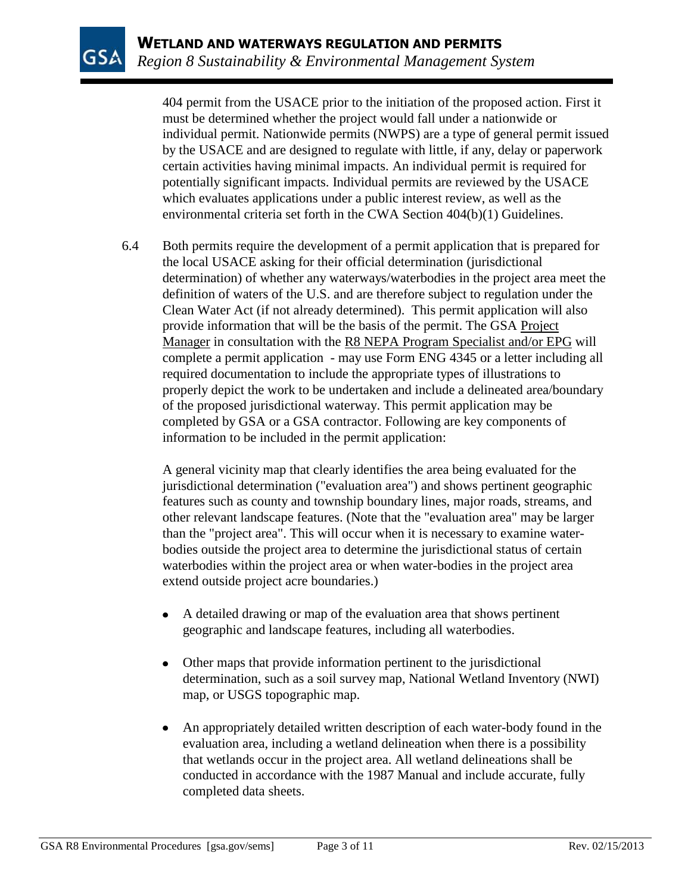404 permit from the USACE prior to the initiation of the proposed action. First it must be determined whether the project would fall under a nationwide or individual permit. Nationwide permits (NWPS) are a type of general permit issued by the USACE and are designed to regulate with little, if any, delay or paperwork certain activities having minimal impacts. An individual permit is required for potentially significant impacts. Individual permits are reviewed by the USACE which evaluates applications under a public interest review, as well as the environmental criteria set forth in the CWA Section 404(b)(1) Guidelines.

6.4 Both permits require the development of a permit application that is prepared for the local USACE asking for their official determination (jurisdictional determination) of whether any waterways/waterbodies in the project area meet the definition of waters of the U.S. and are therefore subject to regulation under the Clean Water Act (if not already determined). This permit application will also provide information that will be the basis of the permit. The GSA Project Manager in consultation with the R8 NEPA Program Specialist and/or EPG will complete a permit application - may use Form ENG 4345 or a letter including all required documentation to include the appropriate types of illustrations to properly depict the work to be undertaken and include a delineated area/boundary of the proposed jurisdictional waterway. This permit application may be completed by GSA or a GSA contractor. Following are key components of information to be included in the permit application:

A general vicinity map that clearly identifies the area being evaluated for the jurisdictional determination ("evaluation area") and shows pertinent geographic features such as county and township boundary lines, major roads, streams, and other relevant landscape features. (Note that the "evaluation area" may be larger than the "project area". This will occur when it is necessary to examine waterbodies outside the project area to determine the jurisdictional status of certain waterbodies within the project area or when water-bodies in the project area extend outside project acre boundaries.)

- $\bullet$ A detailed drawing or map of the evaluation area that shows pertinent geographic and landscape features, including all waterbodies.
- $\bullet$ Other maps that provide information pertinent to the jurisdictional determination, such as a soil survey map, National Wetland Inventory (NWI) map, or USGS topographic map.
- An appropriately detailed written description of each water-body found in the  $\bullet$ evaluation area, including a wetland delineation when there is a possibility that wetlands occur in the project area. All wetland delineations shall be conducted in accordance with the 1987 Manual and include accurate, fully completed data sheets.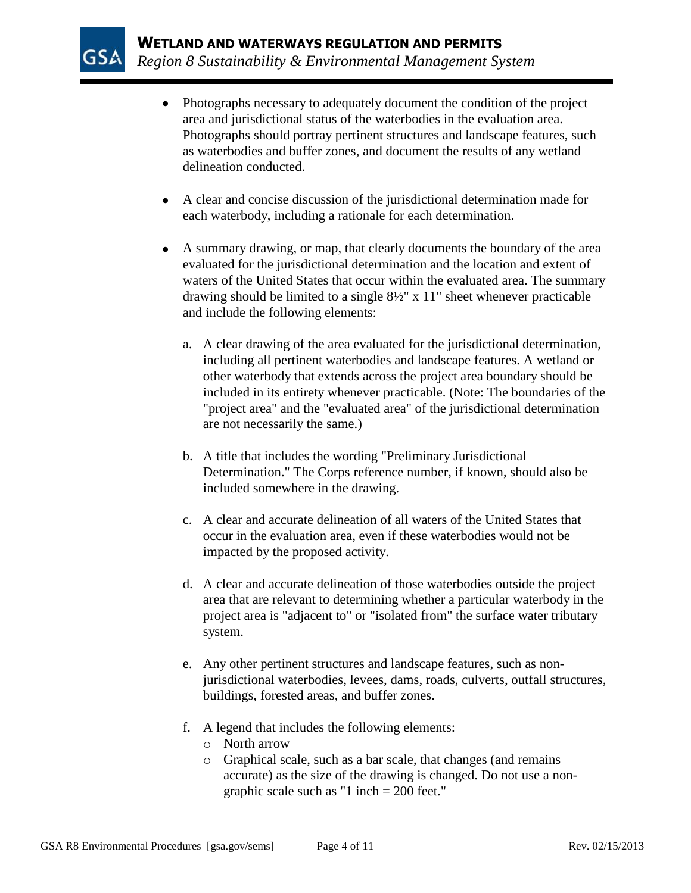

- Photographs necessary to adequately document the condition of the project area and jurisdictional status of the waterbodies in the evaluation area. Photographs should portray pertinent structures and landscape features, such as waterbodies and buffer zones, and document the results of any wetland delineation conducted.
- A clear and concise discussion of the jurisdictional determination made for each waterbody, including a rationale for each determination.
- A summary drawing, or map, that clearly documents the boundary of the area evaluated for the jurisdictional determination and the location and extent of waters of the United States that occur within the evaluated area. The summary drawing should be limited to a single 8½" x 11" sheet whenever practicable and include the following elements:
	- a. A clear drawing of the area evaluated for the jurisdictional determination, including all pertinent waterbodies and landscape features. A wetland or other waterbody that extends across the project area boundary should be included in its entirety whenever practicable. (Note: The boundaries of the "project area" and the "evaluated area" of the jurisdictional determination are not necessarily the same.)
	- b. A title that includes the wording "Preliminary Jurisdictional Determination." The Corps reference number, if known, should also be included somewhere in the drawing.
	- c. A clear and accurate delineation of all waters of the United States that occur in the evaluation area, even if these waterbodies would not be impacted by the proposed activity.
	- d. A clear and accurate delineation of those waterbodies outside the project area that are relevant to determining whether a particular waterbody in the project area is "adjacent to" or "isolated from" the surface water tributary system.
	- e. Any other pertinent structures and landscape features, such as nonjurisdictional waterbodies, levees, dams, roads, culverts, outfall structures, buildings, forested areas, and buffer zones.
	- f. A legend that includes the following elements:
		- o North arrow
		- o Graphical scale, such as a bar scale, that changes (and remains accurate) as the size of the drawing is changed. Do not use a nongraphic scale such as "1 inch = 200 feet."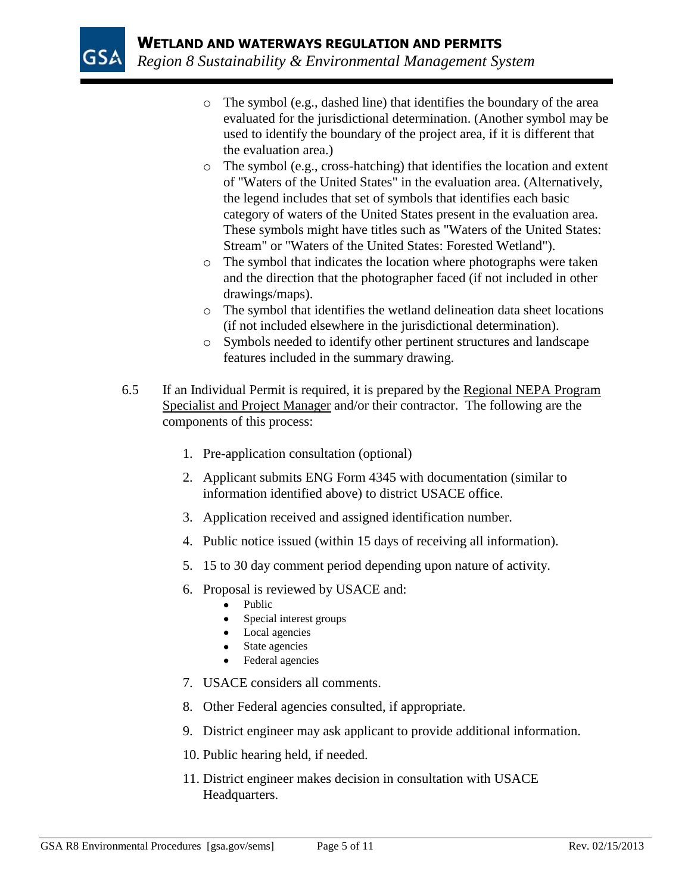

- o The symbol (e.g., dashed line) that identifies the boundary of the area evaluated for the jurisdictional determination. (Another symbol may be used to identify the boundary of the project area, if it is different that the evaluation area.)
- o The symbol (e.g., cross-hatching) that identifies the location and extent of "Waters of the United States" in the evaluation area. (Alternatively, the legend includes that set of symbols that identifies each basic category of waters of the United States present in the evaluation area. These symbols might have titles such as "Waters of the United States: Stream" or "Waters of the United States: Forested Wetland").
- o The symbol that indicates the location where photographs were taken and the direction that the photographer faced (if not included in other drawings/maps).
- o The symbol that identifies the wetland delineation data sheet locations (if not included elsewhere in the jurisdictional determination).
- o Symbols needed to identify other pertinent structures and landscape features included in the summary drawing.
- 6.5 If an Individual Permit is required, it is prepared by the Regional NEPA Program Specialist and Project Manager and/or their contractor. The following are the components of this process:
	- 1. Pre-application consultation (optional)
	- 2. Applicant submits ENG Form 4345 with documentation (similar to information identified above) to district USACE office.
	- 3. Application received and assigned identification number.
	- 4. Public notice issued (within 15 days of receiving all information).
	- 5. 15 to 30 day comment period depending upon nature of activity.
	- 6. Proposal is reviewed by USACE and:
		- $\bullet$ Public
		- Special interest groups
		- Local agencies
		- State agencies
		- Federal agencies
	- 7. USACE considers all comments.
	- 8. Other Federal agencies consulted, if appropriate.
	- 9. District engineer may ask applicant to provide additional information.
	- 10. Public hearing held, if needed.
	- 11. District engineer makes decision in consultation with USACE Headquarters.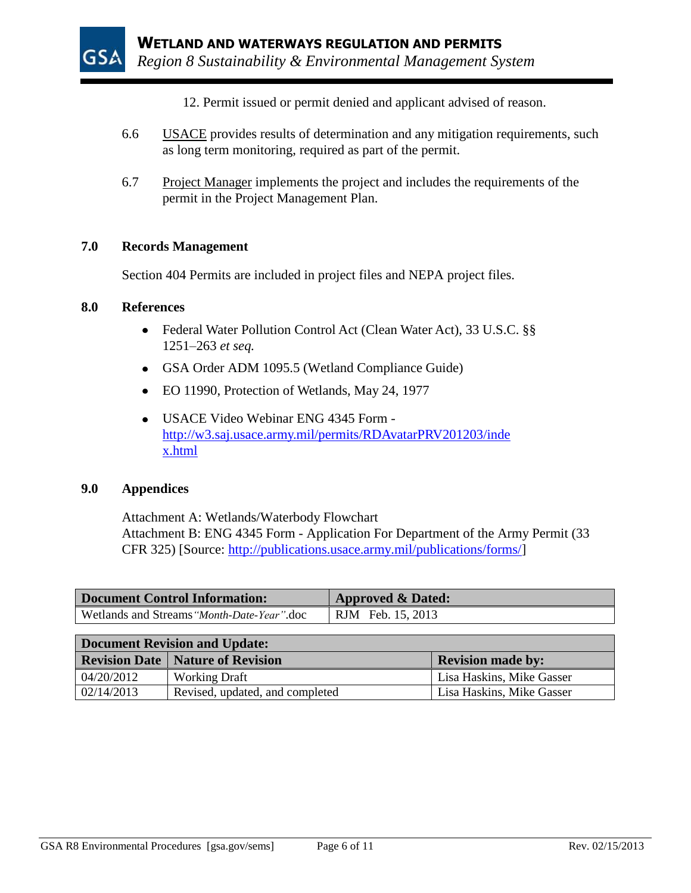- 12. Permit issued or permit denied and applicant advised of reason.
- 6.6 USACE provides results of determination and any mitigation requirements, such as long term monitoring, required as part of the permit.
- 6.7 Project Manager implements the project and includes the requirements of the permit in the Project Management Plan.

### **7.0 Records Management**

Section 404 Permits are included in project files and NEPA project files.

#### **8.0 References**

- Federal Water Pollution Control Act (Clean Water Act), 33 U.S.C. §§ 1251–263 *et seq.*
- GSA Order ADM 1095.5 (Wetland Compliance Guide)
- EO 11990, Protection of Wetlands, May 24, 1977
- USACE Video Webinar ENG 4345 Form [http://w3.saj.usace.army.mil/permits/RDAvatarPRV201203/inde](http://w3.saj.usace.army.mil/permits/RDAvatarPRV201203/index.html) [x.html](http://w3.saj.usace.army.mil/permits/RDAvatarPRV201203/index.html)

### **9.0 Appendices**

Attachment A: Wetlands/Waterbody Flowchart Attachment B: ENG 4345 Form - Application For Department of the Army Permit (33 CFR 325) [Source: [http://publications.usace.army.mil/publications/forms/\]](http://publications.usace.army.mil/publications/forms/)

| Document Control Information:              | <b>Approved &amp; Dated:</b> |  |  |
|--------------------------------------------|------------------------------|--|--|
| Wetlands and Streams "Month-Date-Year".doc | RJM Feb. 15, 2013            |  |  |

| <b>Document Revision and Update:</b> |                                           |                           |  |  |
|--------------------------------------|-------------------------------------------|---------------------------|--|--|
|                                      | <b>Revision Date   Nature of Revision</b> | <b>Revision made by:</b>  |  |  |
| 04/20/2012                           | <b>Working Draft</b>                      | Lisa Haskins, Mike Gasser |  |  |
| 02/14/2013                           | Revised, updated, and completed           | Lisa Haskins, Mike Gasser |  |  |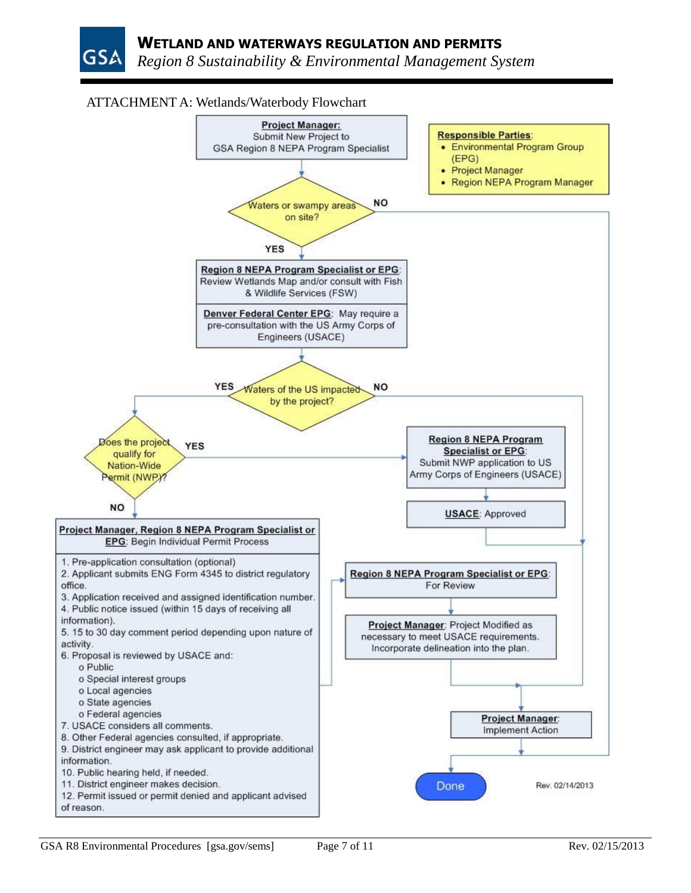# ATTACHMENT A: Wetlands/Waterbody Flowchart

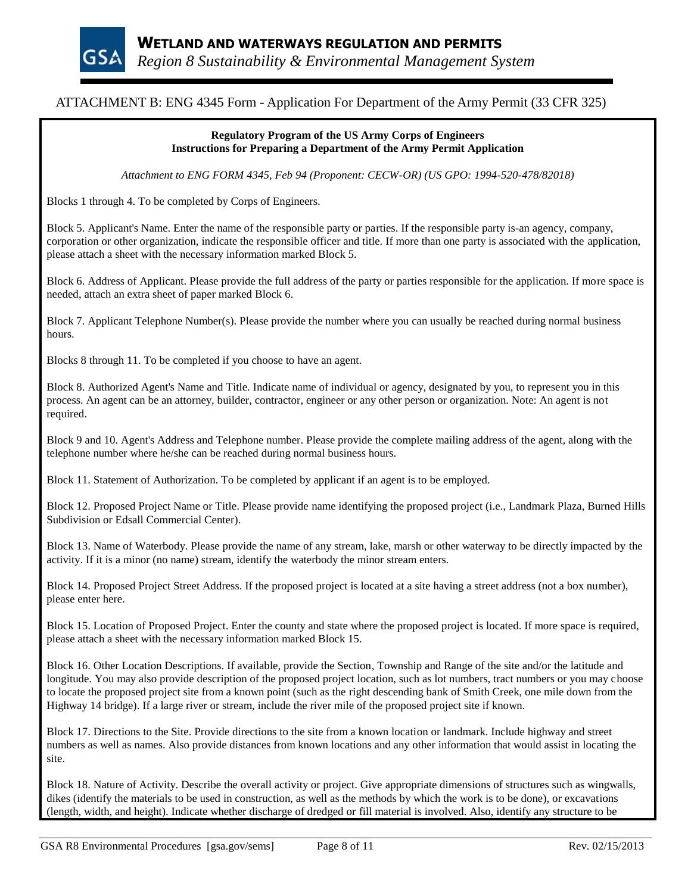

# ATTACHMENT B: ENG 4345 Form - Application For Department of the Army Permit (33 CFR 325)

#### **Regulatory Program of the US Army Corps of Engineers Instructions for Preparing a Department of the Army Permit Application**

*Attachment to ENG FORM 4345, Feb 94 (Proponent: CECW-OR) (US GPO: 1994-520-478/82018)*

Blocks 1 through 4. To be completed by Corps of Engineers.

Block 5. Applicant's Name. Enter the name of the responsible party or parties. If the responsible party is-an agency, company, corporation or other organization, indicate the responsible officer and title. If more than one party is associated with the application, please attach a sheet with the necessary information marked Block 5.

Block 6. Address of Applicant. Please provide the full address of the party or parties responsible for the application. If more space is needed, attach an extra sheet of paper marked Block 6.

Block 7. Applicant Telephone Number(s). Please provide the number where you can usually be reached during normal business hours.

Blocks 8 through 11. To be completed if you choose to have an agent.

Block 8. Authorized Agent's Name and Title. Indicate name of individual or agency, designated by you, to represent you in this process. An agent can be an attorney, builder, contractor, engineer or any other person or organization. Note: An agent is not required.

Block 9 and 10. Agent's Address and Telephone number. Please provide the complete mailing address of the agent, along with the telephone number where he/she can be reached during normal business hours.

Block 11. Statement of Authorization. To be completed by applicant if an agent is to be employed.

Block 12. Proposed Project Name or Title. Please provide name identifying the proposed project (i.e., Landmark Plaza, Burned Hills Subdivision or Edsall Commercial Center).

Block 13. Name of Waterbody. Please provide the name of any stream, lake, marsh or other waterway to be directly impacted by the activity. If it is a minor (no name) stream, identify the waterbody the minor stream enters.

Block 14. Proposed Project Street Address. If the proposed project is located at a site having a street address (not a box number), please enter here.

Block 15. Location of Proposed Project. Enter the county and state where the proposed project is located. If more space is required, please attach a sheet with the necessary information marked Block 15.

Block 16. Other Location Descriptions. If available, provide the Section, Township and Range of the site and/or the latitude and longitude. You may also provide description of the proposed project location, such as lot numbers, tract numbers or you may choose to locate the proposed project site from a known point (such as the right descending bank of Smith Creek, one mile down from the Highway 14 bridge). If a large river or stream, include the river mile of the proposed project site if known.

Block 17. Directions to the Site. Provide directions to the site from a known location or landmark. Include highway and street numbers as well as names. Also provide distances from known locations and any other information that would assist in locating the site.

Block 18. Nature of Activity. Describe the overall activity or project. Give appropriate dimensions of structures such as wingwalls, dikes (identify the materials to be used in construction, as well as the methods by which the work is to be done), or excavations (length, width, and height). Indicate whether discharge of dredged or fill material is involved. Also, identify any structure to be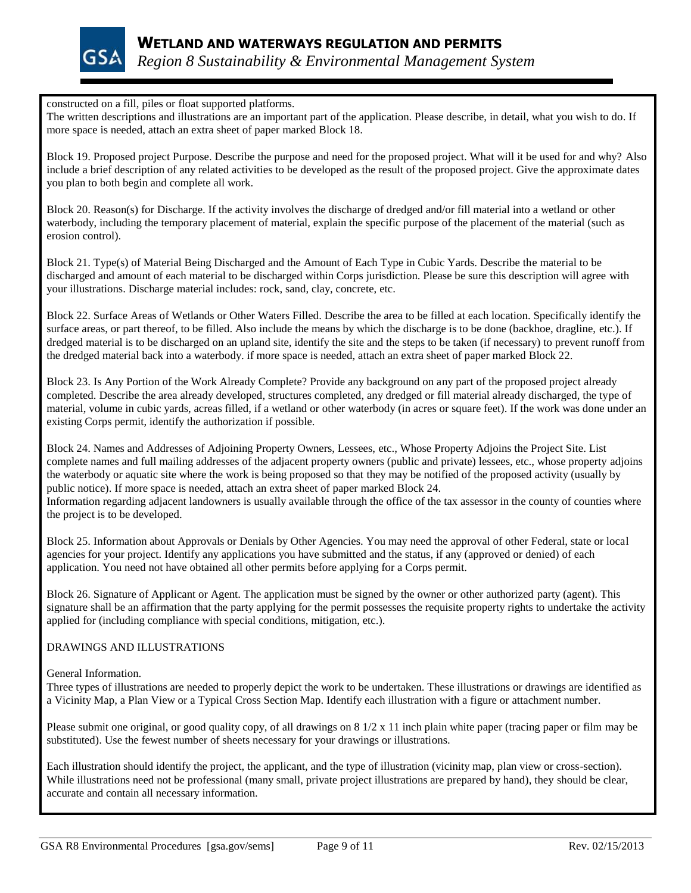

constructed on a fill, piles or float supported platforms.

The written descriptions and illustrations are an important part of the application. Please describe, in detail, what you wish to do. If more space is needed, attach an extra sheet of paper marked Block 18.

Block 19. Proposed project Purpose. Describe the purpose and need for the proposed project. What will it be used for and why? Also include a brief description of any related activities to be developed as the result of the proposed project. Give the approximate dates you plan to both begin and complete all work.

Block 20. Reason(s) for Discharge. If the activity involves the discharge of dredged and/or fill material into a wetland or other waterbody, including the temporary placement of material, explain the specific purpose of the placement of the material (such as erosion control).

Block 21. Type(s) of Material Being Discharged and the Amount of Each Type in Cubic Yards. Describe the material to be discharged and amount of each material to be discharged within Corps jurisdiction. Please be sure this description will agree with your illustrations. Discharge material includes: rock, sand, clay, concrete, etc.

Block 22. Surface Areas of Wetlands or Other Waters Filled. Describe the area to be filled at each location. Specifically identify the surface areas, or part thereof, to be filled. Also include the means by which the discharge is to be done (backhoe, dragline, etc.). If dredged material is to be discharged on an upland site, identify the site and the steps to be taken (if necessary) to prevent runoff from the dredged material back into a waterbody. if more space is needed, attach an extra sheet of paper marked Block 22.

Block 23. Is Any Portion of the Work Already Complete? Provide any background on any part of the proposed project already completed. Describe the area already developed, structures completed, any dredged or fill material already discharged, the type of material, volume in cubic yards, acreas filled, if a wetland or other waterbody (in acres or square feet). If the work was done under an existing Corps permit, identify the authorization if possible.

Block 24. Names and Addresses of Adjoining Property Owners, Lessees, etc., Whose Property Adjoins the Project Site. List complete names and full mailing addresses of the adjacent property owners (public and private) lessees, etc., whose property adjoins the waterbody or aquatic site where the work is being proposed so that they may be notified of the proposed activity (usually by public notice). If more space is needed, attach an extra sheet of paper marked Block 24. Information regarding adjacent landowners is usually available through the office of the tax assessor in the county of counties where the project is to be developed.

Block 25. Information about Approvals or Denials by Other Agencies. You may need the approval of other Federal, state or local agencies for your project. Identify any applications you have submitted and the status, if any (approved or denied) of each application. You need not have obtained all other permits before applying for a Corps permit.

Block 26. Signature of Applicant or Agent. The application must be signed by the owner or other authorized party (agent). This signature shall be an affirmation that the party applying for the permit possesses the requisite property rights to undertake the activity applied for (including compliance with special conditions, mitigation, etc.).

#### DRAWINGS AND ILLUSTRATIONS

General Information.

Three types of illustrations are needed to properly depict the work to be undertaken. These illustrations or drawings are identified as a Vicinity Map, a Plan View or a Typical Cross Section Map. Identify each illustration with a figure or attachment number.

Please submit one original, or good quality copy, of all drawings on  $8\frac{1}{2} \times 11$  inch plain white paper (tracing paper or film may be substituted). Use the fewest number of sheets necessary for your drawings or illustrations.

Each illustration should identify the project, the applicant, and the type of illustration (vicinity map, plan view or cross-section). While illustrations need not be professional (many small, private project illustrations are prepared by hand), they should be clear, accurate and contain all necessary information.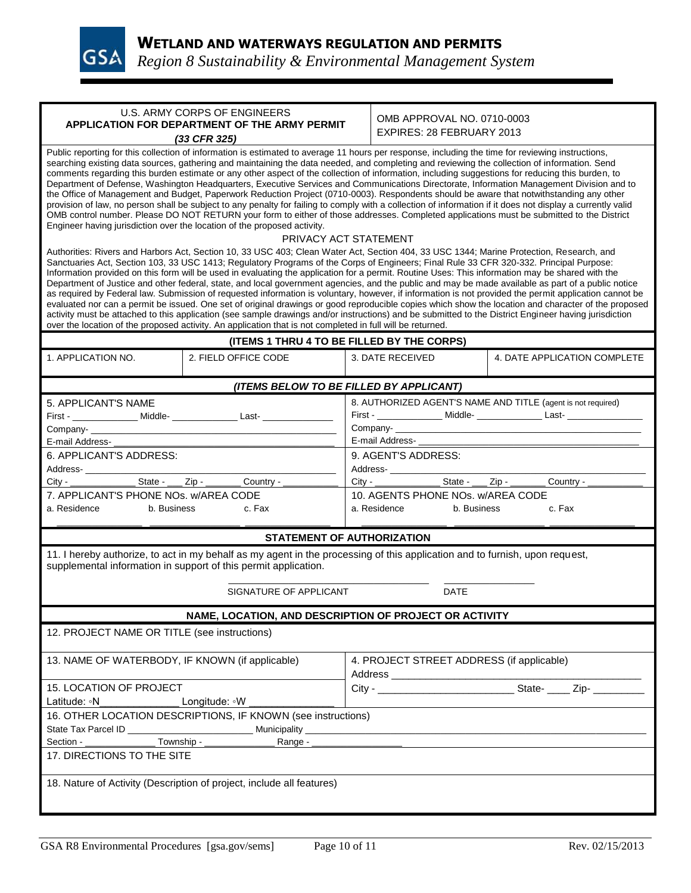

|                                                                                                                                                                                                                                                                                                                                                                                                                                                                                                                                                                                                                                                                                                                                                                                                                                                                                                                                                                                                                                                                                                                                                                                                                                                                                                                                                                                                                                                                                                                                                                                                                                                                                                                                                                                                                                                                                                                                                                                                                                                                                                                                                                                                                                                                                                                                                                           | U.S. ARMY CORPS OF ENGINEERS                                                     | OMB APPROVAL NO. 0710-0003 |                                                                                                                                                              |                                                                                  |  |
|---------------------------------------------------------------------------------------------------------------------------------------------------------------------------------------------------------------------------------------------------------------------------------------------------------------------------------------------------------------------------------------------------------------------------------------------------------------------------------------------------------------------------------------------------------------------------------------------------------------------------------------------------------------------------------------------------------------------------------------------------------------------------------------------------------------------------------------------------------------------------------------------------------------------------------------------------------------------------------------------------------------------------------------------------------------------------------------------------------------------------------------------------------------------------------------------------------------------------------------------------------------------------------------------------------------------------------------------------------------------------------------------------------------------------------------------------------------------------------------------------------------------------------------------------------------------------------------------------------------------------------------------------------------------------------------------------------------------------------------------------------------------------------------------------------------------------------------------------------------------------------------------------------------------------------------------------------------------------------------------------------------------------------------------------------------------------------------------------------------------------------------------------------------------------------------------------------------------------------------------------------------------------------------------------------------------------------------------------------------------------|----------------------------------------------------------------------------------|----------------------------|--------------------------------------------------------------------------------------------------------------------------------------------------------------|----------------------------------------------------------------------------------|--|
| APPLICATION FOR DEPARTMENT OF THE ARMY PERMIT                                                                                                                                                                                                                                                                                                                                                                                                                                                                                                                                                                                                                                                                                                                                                                                                                                                                                                                                                                                                                                                                                                                                                                                                                                                                                                                                                                                                                                                                                                                                                                                                                                                                                                                                                                                                                                                                                                                                                                                                                                                                                                                                                                                                                                                                                                                             |                                                                                  |                            | EXPIRES: 28 FEBRUARY 2013                                                                                                                                    |                                                                                  |  |
|                                                                                                                                                                                                                                                                                                                                                                                                                                                                                                                                                                                                                                                                                                                                                                                                                                                                                                                                                                                                                                                                                                                                                                                                                                                                                                                                                                                                                                                                                                                                                                                                                                                                                                                                                                                                                                                                                                                                                                                                                                                                                                                                                                                                                                                                                                                                                                           |                                                                                  |                            |                                                                                                                                                              |                                                                                  |  |
| (33 CFR 325)<br>Public reporting for this collection of information is estimated to average 11 hours per response, including the time for reviewing instructions,<br>searching existing data sources, gathering and maintaining the data needed, and completing and reviewing the collection of information. Send<br>comments regarding this burden estimate or any other aspect of the collection of information, including suggestions for reducing this burden, to<br>Department of Defense, Washington Headquarters, Executive Services and Communications Directorate, Information Management Division and to<br>the Office of Management and Budget, Paperwork Reduction Project (0710-0003). Respondents should be aware that notwithstanding any other<br>provision of law, no person shall be subject to any penalty for failing to comply with a collection of information if it does not display a currently valid<br>OMB control number. Please DO NOT RETURN your form to either of those addresses. Completed applications must be submitted to the District<br>Engineer having jurisdiction over the location of the proposed activity.<br>PRIVACY ACT STATEMENT<br>Authorities: Rivers and Harbors Act, Section 10, 33 USC 403; Clean Water Act, Section 404, 33 USC 1344; Marine Protection, Research, and<br>Sanctuaries Act, Section 103, 33 USC 1413; Regulatory Programs of the Corps of Engineers; Final Rule 33 CFR 320-332. Principal Purpose:<br>Information provided on this form will be used in evaluating the application for a permit. Routine Uses: This information may be shared with the<br>Department of Justice and other federal, state, and local government agencies, and the public and may be made available as part of a public notice<br>as required by Federal law. Submission of requested information is voluntary, however, if information is not provided the permit application cannot be<br>evaluated nor can a permit be issued. One set of original drawings or good reproducible copies which show the location and character of the proposed<br>activity must be attached to this application (see sample drawings and/or instructions) and be submitted to the District Engineer having jurisdiction<br>over the location of the proposed activity. An application that is not completed in full will be returned. |                                                                                  |                            |                                                                                                                                                              |                                                                                  |  |
|                                                                                                                                                                                                                                                                                                                                                                                                                                                                                                                                                                                                                                                                                                                                                                                                                                                                                                                                                                                                                                                                                                                                                                                                                                                                                                                                                                                                                                                                                                                                                                                                                                                                                                                                                                                                                                                                                                                                                                                                                                                                                                                                                                                                                                                                                                                                                                           | (ITEMS 1 THRU 4 TO BE FILLED BY THE CORPS)                                       |                            |                                                                                                                                                              |                                                                                  |  |
| 1. APPLICATION NO.                                                                                                                                                                                                                                                                                                                                                                                                                                                                                                                                                                                                                                                                                                                                                                                                                                                                                                                                                                                                                                                                                                                                                                                                                                                                                                                                                                                                                                                                                                                                                                                                                                                                                                                                                                                                                                                                                                                                                                                                                                                                                                                                                                                                                                                                                                                                                        | 2. FIELD OFFICE CODE                                                             |                            | 3. DATE RECEIVED                                                                                                                                             | 4. DATE APPLICATION COMPLETE                                                     |  |
|                                                                                                                                                                                                                                                                                                                                                                                                                                                                                                                                                                                                                                                                                                                                                                                                                                                                                                                                                                                                                                                                                                                                                                                                                                                                                                                                                                                                                                                                                                                                                                                                                                                                                                                                                                                                                                                                                                                                                                                                                                                                                                                                                                                                                                                                                                                                                                           | (ITEMS BELOW TO BE FILLED BY APPLICANT)                                          |                            |                                                                                                                                                              |                                                                                  |  |
| 5. APPLICANT'S NAME                                                                                                                                                                                                                                                                                                                                                                                                                                                                                                                                                                                                                                                                                                                                                                                                                                                                                                                                                                                                                                                                                                                                                                                                                                                                                                                                                                                                                                                                                                                                                                                                                                                                                                                                                                                                                                                                                                                                                                                                                                                                                                                                                                                                                                                                                                                                                       |                                                                                  |                            |                                                                                                                                                              | 8. AUTHORIZED AGENT'S NAME AND TITLE (agent is not required)                     |  |
|                                                                                                                                                                                                                                                                                                                                                                                                                                                                                                                                                                                                                                                                                                                                                                                                                                                                                                                                                                                                                                                                                                                                                                                                                                                                                                                                                                                                                                                                                                                                                                                                                                                                                                                                                                                                                                                                                                                                                                                                                                                                                                                                                                                                                                                                                                                                                                           | First - ________________ Middle- _________________ Last- _______________________ |                            |                                                                                                                                                              | First - _________________ Middle- __________________ Last- _____________________ |  |
| Company-<br>Company-                                                                                                                                                                                                                                                                                                                                                                                                                                                                                                                                                                                                                                                                                                                                                                                                                                                                                                                                                                                                                                                                                                                                                                                                                                                                                                                                                                                                                                                                                                                                                                                                                                                                                                                                                                                                                                                                                                                                                                                                                                                                                                                                                                                                                                                                                                                                                      |                                                                                  |                            |                                                                                                                                                              |                                                                                  |  |
| E-mail Address-                                                                                                                                                                                                                                                                                                                                                                                                                                                                                                                                                                                                                                                                                                                                                                                                                                                                                                                                                                                                                                                                                                                                                                                                                                                                                                                                                                                                                                                                                                                                                                                                                                                                                                                                                                                                                                                                                                                                                                                                                                                                                                                                                                                                                                                                                                                                                           |                                                                                  | E-mail Address-            |                                                                                                                                                              |                                                                                  |  |
| 6. APPLICANT'S ADDRESS:                                                                                                                                                                                                                                                                                                                                                                                                                                                                                                                                                                                                                                                                                                                                                                                                                                                                                                                                                                                                                                                                                                                                                                                                                                                                                                                                                                                                                                                                                                                                                                                                                                                                                                                                                                                                                                                                                                                                                                                                                                                                                                                                                                                                                                                                                                                                                   |                                                                                  | 9. AGENT'S ADDRESS:        |                                                                                                                                                              |                                                                                  |  |
| Address-                                                                                                                                                                                                                                                                                                                                                                                                                                                                                                                                                                                                                                                                                                                                                                                                                                                                                                                                                                                                                                                                                                                                                                                                                                                                                                                                                                                                                                                                                                                                                                                                                                                                                                                                                                                                                                                                                                                                                                                                                                                                                                                                                                                                                                                                                                                                                                  |                                                                                  |                            | Address-                                                                                                                                                     |                                                                                  |  |
| City -                                                                                                                                                                                                                                                                                                                                                                                                                                                                                                                                                                                                                                                                                                                                                                                                                                                                                                                                                                                                                                                                                                                                                                                                                                                                                                                                                                                                                                                                                                                                                                                                                                                                                                                                                                                                                                                                                                                                                                                                                                                                                                                                                                                                                                                                                                                                                                    | ______________________ State - _____ Zip - _________ Country - ____              |                            | City - ___________________State - ____ Zip - _________ Country - __                                                                                          |                                                                                  |  |
| 7. APPLICANT'S PHONE NOs. w/AREA CODE<br>10. AGENTS PHONE NOs. w/AREA CODE                                                                                                                                                                                                                                                                                                                                                                                                                                                                                                                                                                                                                                                                                                                                                                                                                                                                                                                                                                                                                                                                                                                                                                                                                                                                                                                                                                                                                                                                                                                                                                                                                                                                                                                                                                                                                                                                                                                                                                                                                                                                                                                                                                                                                                                                                                |                                                                                  |                            |                                                                                                                                                              |                                                                                  |  |
| a. Residence<br>b. Business                                                                                                                                                                                                                                                                                                                                                                                                                                                                                                                                                                                                                                                                                                                                                                                                                                                                                                                                                                                                                                                                                                                                                                                                                                                                                                                                                                                                                                                                                                                                                                                                                                                                                                                                                                                                                                                                                                                                                                                                                                                                                                                                                                                                                                                                                                                                               | c. Fax                                                                           |                            | a. Residence<br>b. Business                                                                                                                                  | c. Fax                                                                           |  |
|                                                                                                                                                                                                                                                                                                                                                                                                                                                                                                                                                                                                                                                                                                                                                                                                                                                                                                                                                                                                                                                                                                                                                                                                                                                                                                                                                                                                                                                                                                                                                                                                                                                                                                                                                                                                                                                                                                                                                                                                                                                                                                                                                                                                                                                                                                                                                                           | <b>STATEMENT OF AUTHORIZATION</b>                                                |                            |                                                                                                                                                              |                                                                                  |  |
| 11. I hereby authorize, to act in my behalf as my agent in the processing of this application and to furnish, upon request,<br>supplemental information in support of this permit application.                                                                                                                                                                                                                                                                                                                                                                                                                                                                                                                                                                                                                                                                                                                                                                                                                                                                                                                                                                                                                                                                                                                                                                                                                                                                                                                                                                                                                                                                                                                                                                                                                                                                                                                                                                                                                                                                                                                                                                                                                                                                                                                                                                            |                                                                                  |                            |                                                                                                                                                              |                                                                                  |  |
|                                                                                                                                                                                                                                                                                                                                                                                                                                                                                                                                                                                                                                                                                                                                                                                                                                                                                                                                                                                                                                                                                                                                                                                                                                                                                                                                                                                                                                                                                                                                                                                                                                                                                                                                                                                                                                                                                                                                                                                                                                                                                                                                                                                                                                                                                                                                                                           | SIGNATURE OF APPLICANT                                                           |                            | <b>DATE</b>                                                                                                                                                  |                                                                                  |  |
|                                                                                                                                                                                                                                                                                                                                                                                                                                                                                                                                                                                                                                                                                                                                                                                                                                                                                                                                                                                                                                                                                                                                                                                                                                                                                                                                                                                                                                                                                                                                                                                                                                                                                                                                                                                                                                                                                                                                                                                                                                                                                                                                                                                                                                                                                                                                                                           | NAME, LOCATION, AND DESCRIPTION OF PROJECT OR ACTIVITY                           |                            |                                                                                                                                                              |                                                                                  |  |
| 12. PROJECT NAME OR TITLE (see instructions)                                                                                                                                                                                                                                                                                                                                                                                                                                                                                                                                                                                                                                                                                                                                                                                                                                                                                                                                                                                                                                                                                                                                                                                                                                                                                                                                                                                                                                                                                                                                                                                                                                                                                                                                                                                                                                                                                                                                                                                                                                                                                                                                                                                                                                                                                                                              |                                                                                  |                            |                                                                                                                                                              |                                                                                  |  |
|                                                                                                                                                                                                                                                                                                                                                                                                                                                                                                                                                                                                                                                                                                                                                                                                                                                                                                                                                                                                                                                                                                                                                                                                                                                                                                                                                                                                                                                                                                                                                                                                                                                                                                                                                                                                                                                                                                                                                                                                                                                                                                                                                                                                                                                                                                                                                                           |                                                                                  |                            |                                                                                                                                                              |                                                                                  |  |
| 13. NAME OF WATERBODY, IF KNOWN (if applicable)                                                                                                                                                                                                                                                                                                                                                                                                                                                                                                                                                                                                                                                                                                                                                                                                                                                                                                                                                                                                                                                                                                                                                                                                                                                                                                                                                                                                                                                                                                                                                                                                                                                                                                                                                                                                                                                                                                                                                                                                                                                                                                                                                                                                                                                                                                                           |                                                                                  |                            | 4. PROJECT STREET ADDRESS (if applicable)<br>Address and the contract of the contract of the contract of the contract of the contract of the contract of the |                                                                                  |  |
| 15. LOCATION OF PROJECT                                                                                                                                                                                                                                                                                                                                                                                                                                                                                                                                                                                                                                                                                                                                                                                                                                                                                                                                                                                                                                                                                                                                                                                                                                                                                                                                                                                                                                                                                                                                                                                                                                                                                                                                                                                                                                                                                                                                                                                                                                                                                                                                                                                                                                                                                                                                                   |                                                                                  |                            |                                                                                                                                                              |                                                                                  |  |
| Latitude: <sup>N</sup>                                                                                                                                                                                                                                                                                                                                                                                                                                                                                                                                                                                                                                                                                                                                                                                                                                                                                                                                                                                                                                                                                                                                                                                                                                                                                                                                                                                                                                                                                                                                                                                                                                                                                                                                                                                                                                                                                                                                                                                                                                                                                                                                                                                                                                                                                                                                                    | Longitude: <sup>N</sup>                                                          |                            |                                                                                                                                                              |                                                                                  |  |
| 16. OTHER LOCATION DESCRIPTIONS, IF KNOWN (see instructions)                                                                                                                                                                                                                                                                                                                                                                                                                                                                                                                                                                                                                                                                                                                                                                                                                                                                                                                                                                                                                                                                                                                                                                                                                                                                                                                                                                                                                                                                                                                                                                                                                                                                                                                                                                                                                                                                                                                                                                                                                                                                                                                                                                                                                                                                                                              |                                                                                  |                            |                                                                                                                                                              |                                                                                  |  |
| Township - _<br>Section -                                                                                                                                                                                                                                                                                                                                                                                                                                                                                                                                                                                                                                                                                                                                                                                                                                                                                                                                                                                                                                                                                                                                                                                                                                                                                                                                                                                                                                                                                                                                                                                                                                                                                                                                                                                                                                                                                                                                                                                                                                                                                                                                                                                                                                                                                                                                                 | Range -                                                                          |                            |                                                                                                                                                              |                                                                                  |  |
| 17. DIRECTIONS TO THE SITE                                                                                                                                                                                                                                                                                                                                                                                                                                                                                                                                                                                                                                                                                                                                                                                                                                                                                                                                                                                                                                                                                                                                                                                                                                                                                                                                                                                                                                                                                                                                                                                                                                                                                                                                                                                                                                                                                                                                                                                                                                                                                                                                                                                                                                                                                                                                                |                                                                                  |                            |                                                                                                                                                              |                                                                                  |  |
| 18. Nature of Activity (Description of project, include all features)                                                                                                                                                                                                                                                                                                                                                                                                                                                                                                                                                                                                                                                                                                                                                                                                                                                                                                                                                                                                                                                                                                                                                                                                                                                                                                                                                                                                                                                                                                                                                                                                                                                                                                                                                                                                                                                                                                                                                                                                                                                                                                                                                                                                                                                                                                     |                                                                                  |                            |                                                                                                                                                              |                                                                                  |  |
|                                                                                                                                                                                                                                                                                                                                                                                                                                                                                                                                                                                                                                                                                                                                                                                                                                                                                                                                                                                                                                                                                                                                                                                                                                                                                                                                                                                                                                                                                                                                                                                                                                                                                                                                                                                                                                                                                                                                                                                                                                                                                                                                                                                                                                                                                                                                                                           |                                                                                  |                            |                                                                                                                                                              |                                                                                  |  |